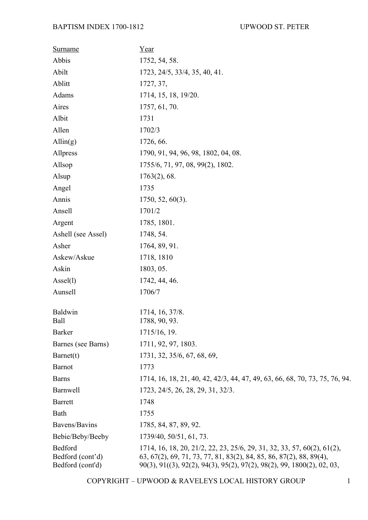| <b>Surname</b>                                  | Year                                                                                                                                                                                                                     |
|-------------------------------------------------|--------------------------------------------------------------------------------------------------------------------------------------------------------------------------------------------------------------------------|
| Abbis                                           | 1752, 54, 58.                                                                                                                                                                                                            |
| Abilt                                           | 1723, 24/5, 33/4, 35, 40, 41.                                                                                                                                                                                            |
| Ablitt                                          | 1727, 37,                                                                                                                                                                                                                |
| Adams                                           | 1714, 15, 18, 19/20.                                                                                                                                                                                                     |
| Aires                                           | 1757, 61, 70.                                                                                                                                                                                                            |
| Albit                                           | 1731                                                                                                                                                                                                                     |
| Allen                                           | 1702/3                                                                                                                                                                                                                   |
| $\text{Allin}(g)$                               | 1726, 66.                                                                                                                                                                                                                |
| Allpress                                        | 1790, 91, 94, 96, 98, 1802, 04, 08.                                                                                                                                                                                      |
| Allsop                                          | 1755/6, 71, 97, 08, 99(2), 1802.                                                                                                                                                                                         |
| Alsup                                           | $1763(2)$ , 68.                                                                                                                                                                                                          |
| Angel                                           | 1735                                                                                                                                                                                                                     |
| Annis                                           | $1750, 52, 60(3)$ .                                                                                                                                                                                                      |
| Ansell                                          | 1701/2                                                                                                                                                                                                                   |
| Argent                                          | 1785, 1801.                                                                                                                                                                                                              |
| Ashell (see Assel)                              | 1748, 54.                                                                                                                                                                                                                |
| Asher                                           | 1764, 89, 91.                                                                                                                                                                                                            |
| Askew/Askue                                     | 1718, 1810                                                                                                                                                                                                               |
| Askin                                           | 1803, 05.                                                                                                                                                                                                                |
| $\text{Assel}(l)$                               | 1742, 44, 46.                                                                                                                                                                                                            |
| Aunsell                                         | 1706/7                                                                                                                                                                                                                   |
| Baldwin<br>Ball                                 | 1714, 16, 37/8.<br>1788, 90, 93.                                                                                                                                                                                         |
| <b>Barker</b>                                   | 1715/16, 19.                                                                                                                                                                                                             |
| Barnes (see Barns)                              | 1711, 92, 97, 1803.                                                                                                                                                                                                      |
| Barnet(t)                                       | 1731, 32, 35/6, 67, 68, 69,                                                                                                                                                                                              |
| <b>Barnot</b>                                   | 1773                                                                                                                                                                                                                     |
| <b>Barns</b>                                    | 1714, 16, 18, 21, 40, 42, 42/3, 44, 47, 49, 63, 66, 68, 70, 73, 75, 76, 94.                                                                                                                                              |
| Barnwell                                        | 1723, 24/5, 26, 28, 29, 31, 32/3.                                                                                                                                                                                        |
| <b>Barrett</b>                                  | 1748                                                                                                                                                                                                                     |
| Bath                                            | 1755                                                                                                                                                                                                                     |
| Bavens/Bavins                                   | 1785, 84, 87, 89, 92.                                                                                                                                                                                                    |
| Bebie/Beby/Beeby                                | 1739/40, 50/51, 61, 73.                                                                                                                                                                                                  |
| Bedford<br>Bedford (cont'd)<br>Bedford (cont'd) | 1714, 16, 18, 20, 21/2, 22, 23, 25/6, 29, 31, 32, 33, 57, 60(2), 61(2),<br>63, 67(2), 69, 71, 73, 77, 81, 83(2), 84, 85, 86, 87(2), 88, 89(4),<br>90(3), 91((3), 92(2), 94(3), 95(2), 97(2), 98(2), 99, 1800(2), 02, 03, |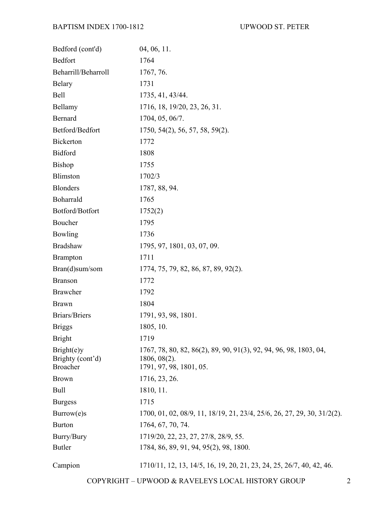| Bedford (cont'd)                                  | 04, 06, 11.                                                                                                     |
|---------------------------------------------------|-----------------------------------------------------------------------------------------------------------------|
| <b>Bedfort</b>                                    | 1764                                                                                                            |
| Beharrill/Beharroll                               | 1767, 76.                                                                                                       |
| <b>Belary</b>                                     | 1731                                                                                                            |
| Bell                                              | 1735, 41, 43/44.                                                                                                |
| Bellamy                                           | 1716, 18, 19/20, 23, 26, 31.                                                                                    |
| Bernard                                           | 1704, 05, 06/7.                                                                                                 |
| Betford/Bedfort                                   | 1750, 54(2), 56, 57, 58, 59(2).                                                                                 |
| <b>Bickerton</b>                                  | 1772                                                                                                            |
| <b>Bidford</b>                                    | 1808                                                                                                            |
| <b>Bishop</b>                                     | 1755                                                                                                            |
| Blimston                                          | 1702/3                                                                                                          |
| <b>Blonders</b>                                   | 1787, 88, 94.                                                                                                   |
| Boharrald                                         | 1765                                                                                                            |
| Botford/Botfort                                   | 1752(2)                                                                                                         |
| Boucher                                           | 1795                                                                                                            |
| Bowling                                           | 1736                                                                                                            |
| <b>Bradshaw</b>                                   | 1795, 97, 1801, 03, 07, 09.                                                                                     |
| <b>Brampton</b>                                   | 1711                                                                                                            |
| Bran(d)sum/som                                    | 1774, 75, 79, 82, 86, 87, 89, 92(2).                                                                            |
| <b>Branson</b>                                    | 1772                                                                                                            |
| <b>Brawcher</b>                                   | 1792                                                                                                            |
| <b>Brawn</b>                                      | 1804                                                                                                            |
| <b>Briars/Briers</b>                              | 1791, 93, 98, 1801.                                                                                             |
| <b>Briggs</b>                                     | 1805, 10.                                                                                                       |
| <b>Bright</b>                                     | 1719                                                                                                            |
| Bright(e)y<br>Brighty (cont'd)<br><b>Broacher</b> | 1767, 78, 80, 82, 86(2), 89, 90, 91(3), 92, 94, 96, 98, 1803, 04,<br>$1806, 08(2)$ .<br>1791, 97, 98, 1801, 05. |
| <b>Brown</b>                                      | 1716, 23, 26.                                                                                                   |
| <b>Bull</b>                                       | 1810, 11.                                                                                                       |
| <b>Burgess</b>                                    | 1715                                                                                                            |
| Burrow(e)s                                        | 1700, 01, 02, 08/9, 11, 18/19, 21, 23/4, 25/6, 26, 27, 29, 30, 31/2(2).                                         |
| <b>Burton</b>                                     | 1764, 67, 70, 74.                                                                                               |
| Burry/Bury                                        | 1719/20, 22, 23, 27, 27/8, 28/9, 55.                                                                            |
| <b>Butler</b>                                     | 1784, 86, 89, 91, 94, 95(2), 98, 1800.                                                                          |
| Campion                                           | 1710/11, 12, 13, 14/5, 16, 19, 20, 21, 23, 24, 25, 26/7, 40, 42, 46.                                            |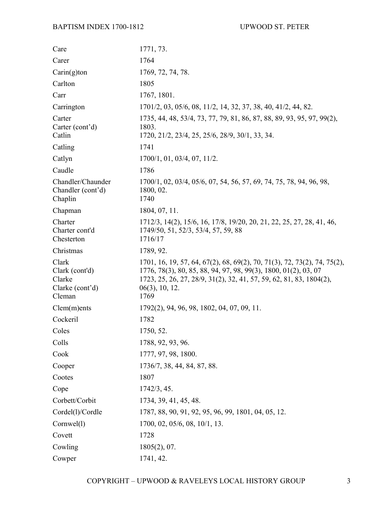| Care                                                           | 1771, 73.                                                                                                                                                                                                                                      |
|----------------------------------------------------------------|------------------------------------------------------------------------------------------------------------------------------------------------------------------------------------------------------------------------------------------------|
| Carer                                                          | 1764                                                                                                                                                                                                                                           |
| $Carin(g)$ ton                                                 | 1769, 72, 74, 78.                                                                                                                                                                                                                              |
| Carlton                                                        | 1805                                                                                                                                                                                                                                           |
| Carr                                                           | 1767, 1801.                                                                                                                                                                                                                                    |
| Carrington                                                     | 1701/2, 03, 05/6, 08, 11/2, 14, 32, 37, 38, 40, 41/2, 44, 82.                                                                                                                                                                                  |
| Carter<br>Carter (cont'd)<br>Catlin                            | 1735, 44, 48, 53/4, 73, 77, 79, 81, 86, 87, 88, 89, 93, 95, 97, 99(2),<br>1803.<br>1720, 21/2, 23/4, 25, 25/6, 28/9, 30/1, 33, 34.                                                                                                             |
| Catling                                                        | 1741                                                                                                                                                                                                                                           |
| Catlyn                                                         | 1700/1, 01, 03/4, 07, 11/2.                                                                                                                                                                                                                    |
| Caudle                                                         | 1786                                                                                                                                                                                                                                           |
| Chandler/Chaunder<br>Chandler (cont'd)<br>Chaplin              | 1700/1, 02, 03/4, 05/6, 07, 54, 56, 57, 69, 74, 75, 78, 94, 96, 98,<br>1800, 02.<br>1740                                                                                                                                                       |
| Chapman                                                        | 1804, 07, 11.                                                                                                                                                                                                                                  |
| Charter<br>Charter cont'd<br>Chesterton                        | 1712/3, 14(2), 15/6, 16, 17/8, 19/20, 20, 21, 22, 25, 27, 28, 41, 46,<br>1749/50, 51, 52/3, 53/4, 57, 59, 88<br>1716/17                                                                                                                        |
| Christmas                                                      | 1789, 92.                                                                                                                                                                                                                                      |
| Clark<br>Clark (cont'd)<br>Clarke<br>Clarke (cont'd)<br>Cleman | 1701, 16, 19, 57, 64, 67(2), 68, 69(2), 70, 71(3), 72, 73(2), 74, 75(2)<br>1776, 78(3), 80, 85, 88, 94, 97, 98, 99(3), 1800, 01(2), 03, 07<br>1723, 25, 26, 27, 28/9, 31(2), 32, 41, 57, 59, 62, 81, 83, 1804(2),<br>$06(3)$ , 10, 12.<br>1769 |
| Clem(m)ents                                                    | 1792(2), 94, 96, 98, 1802, 04, 07, 09, 11.                                                                                                                                                                                                     |
| Cockeril                                                       | 1782                                                                                                                                                                                                                                           |
| Coles                                                          | 1750, 52.                                                                                                                                                                                                                                      |
| Colls                                                          | 1788, 92, 93, 96.                                                                                                                                                                                                                              |
| Cook                                                           | 1777, 97, 98, 1800.                                                                                                                                                                                                                            |
| Cooper                                                         | 1736/7, 38, 44, 84, 87, 88.                                                                                                                                                                                                                    |
| Cootes                                                         | 1807                                                                                                                                                                                                                                           |
| Cope                                                           | 1742/3, 45.                                                                                                                                                                                                                                    |
| Corbett/Corbit                                                 | 1734, 39, 41, 45, 48.                                                                                                                                                                                                                          |
| Cordel(1)/Cordle                                               | 1787, 88, 90, 91, 92, 95, 96, 99, 1801, 04, 05, 12.                                                                                                                                                                                            |
| Cornwel(1)                                                     | 1700, 02, 05/6, 08, 10/1, 13.                                                                                                                                                                                                                  |
| Covett                                                         | 1728                                                                                                                                                                                                                                           |
| Cowling                                                        | 1805(2), 07.                                                                                                                                                                                                                                   |
| Cowper                                                         | 1741, 42.                                                                                                                                                                                                                                      |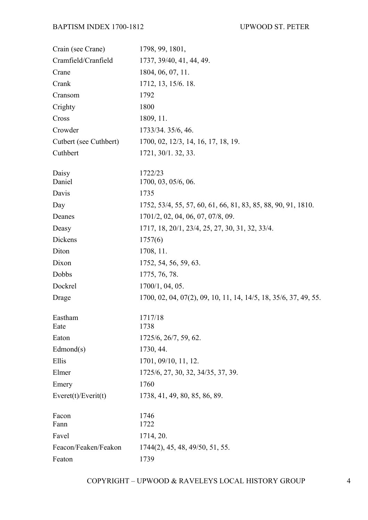| Crain (see Crane)      | 1798, 99, 1801,                                                  |
|------------------------|------------------------------------------------------------------|
| Cramfield/Cranfield    | 1737, 39/40, 41, 44, 49.                                         |
| Crane                  | 1804, 06, 07, 11.                                                |
| Crank                  | 1712, 13, 15/6. 18.                                              |
| Cransom                | 1792                                                             |
| Crighty                | 1800                                                             |
| Cross                  | 1809, 11.                                                        |
| Crowder                | 1733/34. 35/6, 46.                                               |
| Cutbert (see Cuthbert) | 1700, 02, 12/3, 14, 16, 17, 18, 19.                              |
| Cuthbert               | 1721, 30/1. 32, 33.                                              |
| Daisy                  | 1722/23                                                          |
| Daniel                 | 1700, 03, 05/6, 06.                                              |
| Davis                  | 1735                                                             |
| Day                    | 1752, 53/4, 55, 57, 60, 61, 66, 81, 83, 85, 88, 90, 91, 1810.    |
| Deanes                 | 1701/2, 02, 04, 06, 07, 07/8, 09.                                |
| Deasy                  | 1717, 18, 20/1, 23/4, 25, 27, 30, 31, 32, 33/4.                  |
| Dickens                | 1757(6)                                                          |
| Diton                  | 1708, 11.                                                        |
| Dixon                  | 1752, 54, 56, 59, 63.                                            |
| Dobbs                  | 1775, 76, 78.                                                    |
| Dockrel                | 1700/1, 04, 05.                                                  |
| Drage                  | 1700, 02, 04, 07(2), 09, 10, 11, 14, 14/5, 18, 35/6, 37, 49, 55. |
| Eastham                | 1717/18                                                          |
| Eate                   | 1738                                                             |
| Eaton                  | 1725/6, 26/7, 59, 62.                                            |
| Edmond(s)              | 1730, 44.                                                        |
| Ellis                  | 1701, 09/10, 11, 12.                                             |
| Elmer                  | 1725/6, 27, 30, 32, 34/35, 37, 39.                               |
| Emery                  | 1760                                                             |
| Event(t)/Event(t)      | 1738, 41, 49, 80, 85, 86, 89.                                    |
| Facon                  | 1746                                                             |
| Fann                   | 1722                                                             |
| Favel                  | 1714, 20.                                                        |
| Feacon/Feaken/Feakon   | 1744(2), 45, 48, 49/50, 51, 55.                                  |
| Featon                 | 1739                                                             |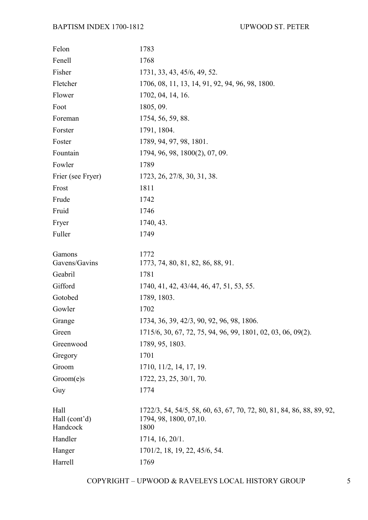| Felon                             | 1783                                                                                                     |
|-----------------------------------|----------------------------------------------------------------------------------------------------------|
| Fenell                            | 1768                                                                                                     |
| Fisher                            | 1731, 33, 43, 45/6, 49, 52.                                                                              |
| Fletcher                          | 1706, 08, 11, 13, 14, 91, 92, 94, 96, 98, 1800.                                                          |
| Flower                            | 1702, 04, 14, 16.                                                                                        |
| Foot                              | 1805, 09.                                                                                                |
| Foreman                           | 1754, 56, 59, 88.                                                                                        |
| Forster                           | 1791, 1804.                                                                                              |
| Foster                            | 1789, 94, 97, 98, 1801.                                                                                  |
| Fountain                          | 1794, 96, 98, 1800(2), 07, 09.                                                                           |
| Fowler                            | 1789                                                                                                     |
| Frier (see Fryer)                 | 1723, 26, 27/8, 30, 31, 38.                                                                              |
| Frost                             | 1811                                                                                                     |
| Frude                             | 1742                                                                                                     |
| Fruid                             | 1746                                                                                                     |
| Fryer                             | 1740, 43.                                                                                                |
| Fuller                            | 1749                                                                                                     |
| Gamons<br>Gavens/Gavins           | 1772<br>1773, 74, 80, 81, 82, 86, 88, 91.                                                                |
| Geabril                           | 1781                                                                                                     |
| Gifford                           | 1740, 41, 42, 43/44, 46, 47, 51, 53, 55.                                                                 |
| Gotobed                           | 1789, 1803.                                                                                              |
| Gowler                            | 1702                                                                                                     |
| Grange                            | 1734, 36, 39, 42/3, 90, 92, 96, 98, 1806.                                                                |
| Green                             | 1715/6, 30, 67, 72, 75, 94, 96, 99, 1801, 02, 03, 06, 09(2).                                             |
| Greenwood                         | 1789, 95, 1803.                                                                                          |
| Gregory                           | 1701                                                                                                     |
| Groom                             | 1710, 11/2, 14, 17, 19.                                                                                  |
| Groom(e)s                         | 1722, 23, 25, 30/1, 70.                                                                                  |
| Guy                               | 1774                                                                                                     |
| Hall<br>Hall (cont'd)<br>Handcock | 1722/3, 54, 54/5, 58, 60, 63, 67, 70, 72, 80, 81, 84, 86, 88, 89, 92,<br>1794, 98, 1800, 07, 10.<br>1800 |
| Handler                           | 1714, 16, 20/1.                                                                                          |
| Hanger                            | 1701/2, 18, 19, 22, 45/6, 54.                                                                            |
| Harrell                           | 1769                                                                                                     |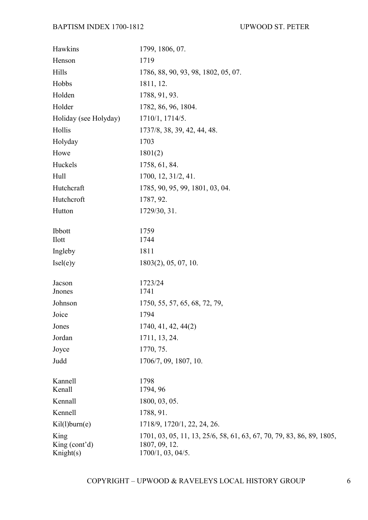| Hawkins                              | 1799, 1806, 07.                                                                                             |
|--------------------------------------|-------------------------------------------------------------------------------------------------------------|
| Henson                               | 1719                                                                                                        |
| Hills                                | 1786, 88, 90, 93, 98, 1802, 05, 07.                                                                         |
| Hobbs                                | 1811, 12.                                                                                                   |
| Holden                               | 1788, 91, 93.                                                                                               |
| Holder                               | 1782, 86, 96, 1804.                                                                                         |
| Holiday (see Holyday)                | 1710/1, 1714/5.                                                                                             |
| Hollis                               | 1737/8, 38, 39, 42, 44, 48.                                                                                 |
| Holyday                              | 1703                                                                                                        |
| Howe                                 | 1801(2)                                                                                                     |
| Huckels                              | 1758, 61, 84.                                                                                               |
| Hull                                 | 1700, 12, 31/2, 41.                                                                                         |
| Hutchcraft                           | 1785, 90, 95, 99, 1801, 03, 04.                                                                             |
| Hutchcroft                           | 1787, 92.                                                                                                   |
| Hutton                               | 1729/30, 31.                                                                                                |
|                                      |                                                                                                             |
| Ibbott                               | 1759                                                                                                        |
| <b>Ilott</b>                         | 1744                                                                                                        |
| Ingleby                              | 1811                                                                                                        |
| Isel(e)y                             | 1803(2), 05, 07, 10.                                                                                        |
| Jacson                               | 1723/24                                                                                                     |
| <b>J</b> nones                       | 1741                                                                                                        |
| Johnson                              | 1750, 55, 57, 65, 68, 72, 79,                                                                               |
| Joice                                | 1794                                                                                                        |
| Jones                                | 1740, 41, 42, 44(2)                                                                                         |
| Jordan                               | 1711, 13, 24.                                                                                               |
| Joyce                                | 1770, 75.                                                                                                   |
| Judd                                 | 1706/7, 09, 1807, 10.                                                                                       |
|                                      |                                                                                                             |
| Kannell<br>Kenall                    | 1798<br>1794, 96                                                                                            |
| Kennall                              | 1800, 03, 05.                                                                                               |
| Kennell                              | 1788, 91.                                                                                                   |
|                                      |                                                                                                             |
| Kil(l)burn(e)                        | 1718/9, 1720/1, 22, 24, 26.                                                                                 |
| King<br>King $(cont2d)$<br>Knight(s) | 1701, 03, 05, 11, 13, 25/6, 58, 61, 63, 67, 70, 79, 83, 86, 89, 1805,<br>1807, 09, 12.<br>1700/1, 03, 04/5. |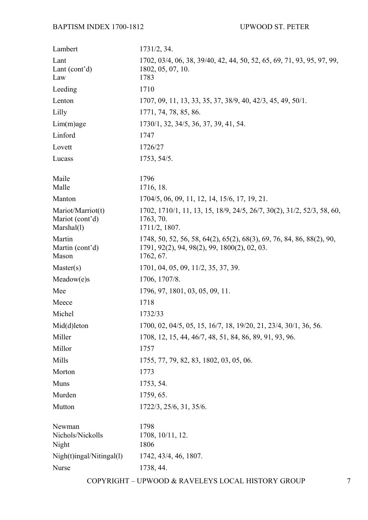| Lambert                                             | 1731/2, 34.                                                                                                                        |
|-----------------------------------------------------|------------------------------------------------------------------------------------------------------------------------------------|
| Lant<br>Lant $(cont2d)$<br>Law                      | 1702, 03/4, 06, 38, 39/40, 42, 44, 50, 52, 65, 69, 71, 93, 95, 97, 99,<br>1802, 05, 07, 10.<br>1783                                |
| Leeding                                             | 1710                                                                                                                               |
| Lenton                                              | 1707, 09, 11, 13, 33, 35, 37, 38/9, 40, 42/3, 45, 49, 50/1.                                                                        |
| Lilly                                               | 1771, 74, 78, 85, 86.                                                                                                              |
| $Lim(m)$ age                                        | 1730/1, 32, 34/5, 36, 37, 39, 41, 54.                                                                                              |
| Linford                                             | 1747                                                                                                                               |
| Lovett                                              | 1726/27                                                                                                                            |
| Lucass                                              | 1753, 54/5.                                                                                                                        |
| Maile<br>Malle                                      | 1796<br>1716, 18.                                                                                                                  |
| Manton                                              | 1704/5, 06, 09, 11, 12, 14, 15/6, 17, 19, 21.                                                                                      |
| Mariot/Marriot(t)<br>Mariot (cont'd)<br>Marshall(1) | 1702, 1710/1, 11, 13, 15, 18/9, 24/5, 26/7, 30(2), 31/2, 52/3, 58, 60,<br>1763, 70.<br>1711/2, 1807.                               |
| Martin<br>Martin (cont'd)<br>Mason                  | 1748, 50, 52, 56, 58, 64(2), 65(2), 68(3), 69, 76, 84, 86, 88(2), 90,<br>1791, 92(2), 94, 98(2), 99, 1800(2), 02, 03.<br>1762, 67. |
| Master(s)                                           | 1701, 04, 05, 09, 11/2, 35, 37, 39.                                                                                                |
| Meadow(e)s                                          | 1706, 1707/8.                                                                                                                      |
| Mee                                                 | 1796, 97, 1801, 03, 05, 09, 11.                                                                                                    |
| Meece                                               | 1718                                                                                                                               |
| Michel                                              | 1732/33                                                                                                                            |
| $Mid(d)$ leton                                      | 1700, 02, 04/5, 05, 15, 16/7, 18, 19/20, 21, 23/4, 30/1, 36, 56.                                                                   |
| Miller                                              | 1708, 12, 15, 44, 46/7, 48, 51, 84, 86, 89, 91, 93, 96.                                                                            |
| Millor                                              | 1757                                                                                                                               |
| Mills                                               | 1755, 77, 79, 82, 83, 1802, 03, 05, 06.                                                                                            |
| Morton                                              | 1773                                                                                                                               |
| Muns                                                | 1753, 54.                                                                                                                          |
| Murden                                              | 1759, 65.                                                                                                                          |
| Mutton                                              | 1722/3, 25/6, 31, 35/6.                                                                                                            |
| Newman<br>Nichols/Nickolls<br>Night                 | 1798<br>1708, 10/11, 12.<br>1806                                                                                                   |
| Nigh(t)ingal/Nitingal(l)                            | 1742, 43/4, 46, 1807.                                                                                                              |
| Nurse                                               | 1738, 44.                                                                                                                          |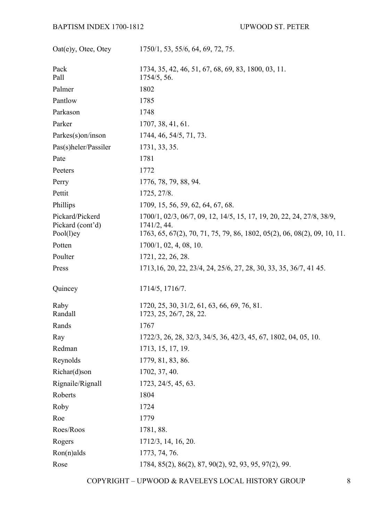| Oat(e)y, Otee, Otey                              | 1750/1, 53, 55/6, 64, 69, 72, 75.                                                                                                                               |
|--------------------------------------------------|-----------------------------------------------------------------------------------------------------------------------------------------------------------------|
| Pack<br>Pall                                     | 1734, 35, 42, 46, 51, 67, 68, 69, 83, 1800, 03, 11.<br>1754/5, 56.                                                                                              |
| Palmer                                           | 1802                                                                                                                                                            |
| Pantlow                                          | 1785                                                                                                                                                            |
| Parkason                                         | 1748                                                                                                                                                            |
| Parker                                           | 1707, 38, 41, 61.                                                                                                                                               |
| Parkes(s)on/inson                                | 1744, 46, 54/5, 71, 73.                                                                                                                                         |
| Pas(s)heler/Passiler                             | 1731, 33, 35.                                                                                                                                                   |
| Pate                                             | 1781                                                                                                                                                            |
| Peeters                                          | 1772                                                                                                                                                            |
| Perry                                            | 1776, 78, 79, 88, 94.                                                                                                                                           |
| Pettit                                           | 1725, 27/8.                                                                                                                                                     |
| Phillips                                         | 1709, 15, 56, 59, 62, 64, 67, 68.                                                                                                                               |
| Pickard/Pickerd<br>Pickard (cont'd)<br>Pool(1)ey | 1700/1, 02/3, 06/7, 09, 12, 14/5, 15, 17, 19, 20, 22, 24, 27/8, 38/9,<br>1741/2, 44.<br>1763, 65, 67(2), 70, 71, 75, 79, 86, 1802, 05(2), 06, 08(2), 09, 10, 11 |
| Potten                                           | 1700/1, 02, 4, 08, 10.                                                                                                                                          |
| Poulter                                          | 1721, 22, 26, 28.                                                                                                                                               |
| Press                                            | 1713, 16, 20, 22, 23/4, 24, 25/6, 27, 28, 30, 33, 35, 36/7, 41 45.                                                                                              |
| Quincey                                          | 1714/5, 1716/7.                                                                                                                                                 |
| Raby<br>Randall                                  | 1720, 25, 30, 31/2, 61, 63, 66, 69, 76, 81.<br>1723, 25, 26/7, 28, 22.                                                                                          |
| Rands                                            | 1767                                                                                                                                                            |
| Ray                                              | 1722/3, 26, 28, 32/3, 34/5, 36, 42/3, 45, 67, 1802, 04, 05, 10.                                                                                                 |
| Redman                                           | 1713, 15, 17, 19.                                                                                                                                               |
| Reynolds                                         | 1779, 81, 83, 86.                                                                                                                                               |
| Richar(d)son                                     | 1702, 37, 40.                                                                                                                                                   |
| Rignaile/Rignall                                 | 1723, 24/5, 45, 63.                                                                                                                                             |
| Roberts                                          | 1804                                                                                                                                                            |
| Roby                                             | 1724                                                                                                                                                            |
| Roe                                              | 1779                                                                                                                                                            |
| Roes/Roos                                        | 1781, 88.                                                                                                                                                       |
| Rogers                                           | 1712/3, 14, 16, 20.                                                                                                                                             |
| $Ron(n)$ alds                                    | 1773, 74, 76.                                                                                                                                                   |
| Rose                                             | 1784, 85(2), 86(2), 87, 90(2), 92, 93, 95, 97(2), 99.                                                                                                           |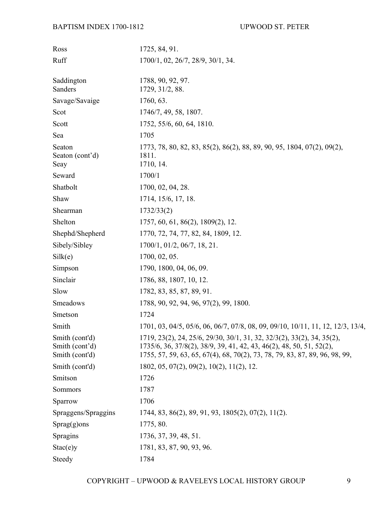| Ross                                               | 1725, 84, 91.                                                                                                                                                                                                                 |
|----------------------------------------------------|-------------------------------------------------------------------------------------------------------------------------------------------------------------------------------------------------------------------------------|
| Ruff                                               | 1700/1, 02, 26/7, 28/9, 30/1, 34.                                                                                                                                                                                             |
|                                                    |                                                                                                                                                                                                                               |
| Saddington<br>Sanders                              | 1788, 90, 92, 97.<br>1729, 31/2, 88.                                                                                                                                                                                          |
| Savage/Savaige                                     | 1760, 63.                                                                                                                                                                                                                     |
| Scot                                               | 1746/7, 49, 58, 1807.                                                                                                                                                                                                         |
| Scott                                              | 1752, 55/6, 60, 64, 1810.                                                                                                                                                                                                     |
| Sea                                                | 1705                                                                                                                                                                                                                          |
| Seaton<br>Seaton (cont'd)<br>Seay                  | 1773, 78, 80, 82, 83, 85(2), 86(2), 88, 89, 90, 95, 1804, 07(2), 09(2),<br>1811.<br>1710, 14.                                                                                                                                 |
| Seward                                             | 1700/1                                                                                                                                                                                                                        |
| Shatbolt                                           | 1700, 02, 04, 28.                                                                                                                                                                                                             |
| Shaw                                               | 1714, 15/6, 17, 18.                                                                                                                                                                                                           |
| Shearman                                           | 1732/33(2)                                                                                                                                                                                                                    |
| Shelton                                            | 1757, 60, 61, 86(2), 1809(2), 12.                                                                                                                                                                                             |
| Shephd/Shepherd                                    | 1770, 72, 74, 77, 82, 84, 1809, 12.                                                                                                                                                                                           |
| Sibely/Sibley                                      | 1700/1, 01/2, 06/7, 18, 21.                                                                                                                                                                                                   |
| Silk(e)                                            | 1700, 02, 05.                                                                                                                                                                                                                 |
| Simpson                                            | 1790, 1800, 04, 06, 09.                                                                                                                                                                                                       |
| Sinclair                                           | 1786, 88, 1807, 10, 12.                                                                                                                                                                                                       |
| Slow                                               | 1782, 83, 85, 87, 89, 91.                                                                                                                                                                                                     |
| Smeadows                                           | 1788, 90, 92, 94, 96, 97(2), 99, 1800.                                                                                                                                                                                        |
| Smetson                                            | 1724                                                                                                                                                                                                                          |
| Smith                                              | 1701, 03, 04/5, 05/6, 06, 06/7, 07/8, 08, 09, 09/10, 10/11, 11, 12, 12/3, 13/4,                                                                                                                                               |
| Smith (cont'd)<br>Smith (cont'd)<br>Smith (cont'd) | 1719, 23(2), 24, 25/6, 29/30, 30/1, 31, 32, 32/3(2), 33(2), 34, 35(2),<br>1735/6, 36, 37/8(2), 38/9, 39, 41, 42, 43, 46(2), 48, 50, 51, 52(2),<br>1755, 57, 59, 63, 65, 67(4), 68, 70(2), 73, 78, 79, 83, 87, 89, 96, 98, 99, |
| Smith (cont'd)                                     | $1802, 05, 07(2), 09(2), 10(2), 11(2), 12.$                                                                                                                                                                                   |
| Smitson                                            | 1726                                                                                                                                                                                                                          |
| Sommors                                            | 1787                                                                                                                                                                                                                          |
| Sparrow                                            | 1706                                                                                                                                                                                                                          |
| Spraggens/Spraggins                                | $1744, 83, 86(2), 89, 91, 93, 1805(2), 07(2), 11(2).$                                                                                                                                                                         |
| $Sprag(g)$ ons                                     | 1775, 80.                                                                                                                                                                                                                     |
| Spragins                                           | 1736, 37, 39, 48, 51.                                                                                                                                                                                                         |
| Stac(e)y                                           | 1781, 83, 87, 90, 93, 96.                                                                                                                                                                                                     |
| Steedy                                             | 1784                                                                                                                                                                                                                          |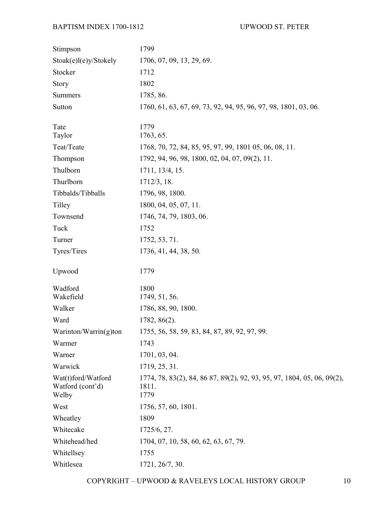| Stimpson                                        | 1799                                                                                     |
|-------------------------------------------------|------------------------------------------------------------------------------------------|
| Stoak(e)l(e)y/Stokely                           | 1706, 07, 09, 13, 29, 69.                                                                |
| Stocker                                         | 1712                                                                                     |
| Story                                           | 1802                                                                                     |
| <b>Summers</b>                                  | 1785, 86.                                                                                |
| Sutton                                          | 1760, 61, 63, 67, 69, 73, 92, 94, 95, 96, 97, 98, 1801, 03, 06.                          |
| Tate                                            | 1779                                                                                     |
| Taylor                                          | 1763, 65.                                                                                |
| Teat/Teate                                      | 1768, 70, 72, 84, 85, 95, 97, 99, 1801 05, 06, 08, 11.                                   |
| Thompson                                        | 1792, 94, 96, 98, 1800, 02, 04, 07, 09(2), 11.                                           |
| Thulborn                                        | 1711, 13/4, 15.                                                                          |
| Thurlborn                                       | 1712/3, 18.                                                                              |
| Tibbalds/Tibballs                               | 1796, 98, 1800.                                                                          |
| Tilley                                          | 1800, 04, 05, 07, 11.                                                                    |
| Townsend                                        | 1746, 74, 79, 1803, 06.                                                                  |
| Tuck                                            | 1752                                                                                     |
| Turner                                          | 1752, 53, 71.                                                                            |
| Tyres/Tires                                     | 1736, 41, 44, 38, 50.                                                                    |
| Upwood                                          | 1779                                                                                     |
| Wadford                                         | 1800                                                                                     |
| Wakefield                                       | 1749, 51, 56.                                                                            |
| Walker                                          | 1786, 88, 90, 1800.                                                                      |
| Ward                                            | 1782, 86(2).                                                                             |
| Warinton/Warrin(g)ton                           | 1755, 56, 58, 59, 83, 84, 87, 89, 92, 97, 99.                                            |
| Warmer                                          | 1743                                                                                     |
| Warner                                          | 1701, 03, 04.                                                                            |
| Warwick                                         | 1719, 25, 31.                                                                            |
| Wat(t)ford/Watford<br>Watford (cont'd)<br>Welby | 1774, 78, 83(2), 84, 86 87, 89(2), 92, 93, 95, 97, 1804, 05, 06, 09(2),<br>1811.<br>1779 |
| West                                            | 1756, 57, 60, 1801.                                                                      |
| Wheatley                                        | 1809                                                                                     |
| Whitecake                                       | 1725/6, 27.                                                                              |
| Whitehead/hed                                   | 1704, 07, 10, 58, 60, 62, 63, 67, 79.                                                    |
| Whitellsey                                      | 1755                                                                                     |
| Whitlesea                                       | 1721, 26/7, 30.                                                                          |